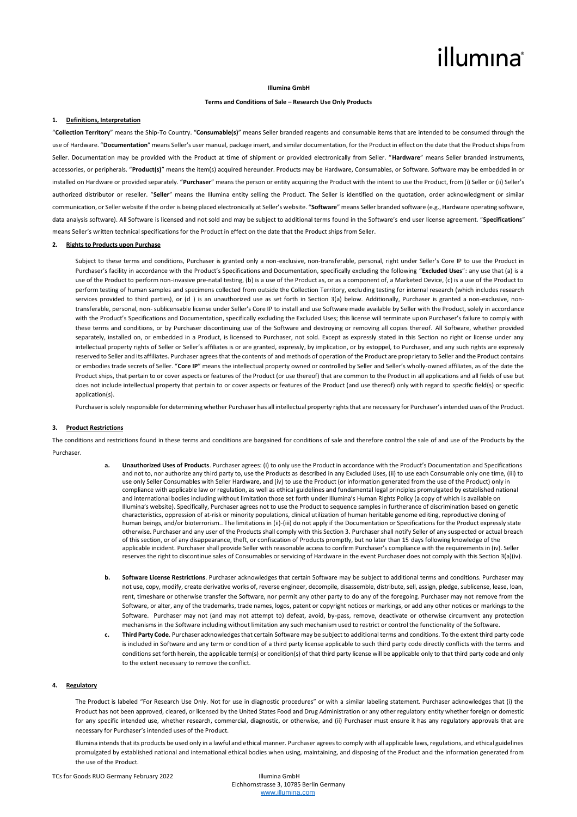# illumına

#### **Illumina GmbH**

# **Terms and Conditions of Sale – Research Use Only Products**

# **1. Definitions, Interpretation**

"**Collection Territory**" means the Ship-To Country. "**Consumable(s)**" means Seller branded reagents and consumable items that are intended to be consumed through the use of Hardware. "**Documentation**" means Seller's user manual, package insert, and similar documentation, for the Product in effect on the date that the Productships from Seller. Documentation may be provided with the Product at time of shipment or provided electronically from Seller. "**Hardware**" means Seller branded instruments, accessories, or peripherals. "**Product(s)**" means the item(s) acquired hereunder. Products may be Hardware, Consumables, or Software. Software may be embedded in or installed on Hardware or provided separately. "**Purchaser**" means the person or entity acquiring the Product with the intent to use the Product, from (i) Seller or (ii) Seller's authorized distributor or reseller. "**Seller**" means the Illumina entity selling the Product. The Seller is identified on the quotation, order acknowledgment or similar communication, or Seller website if the order is being placed electronically at Seller's website. "**Software**" means Seller branded software (e.g., Hardware operating software, data analysis software). All Software is licensed and not sold and may be subject to additional terms found in the Software's end user license agreement. "**Specifications**" means Seller's written technical specifications for the Product in effect on the date that the Product ships from Seller.

### **2. Rights to Products upon Purchase**

Subject to these terms and conditions, Purchaser is granted only a non-exclusive, non-transferable, personal, right under Seller's Core IP to use the Product in Purchaser's facility in accordance with the Product's Specifications and Documentation, specifically excluding the following "**Excluded Uses**": any use that (a) is a use of the Product to perform non-invasive pre-natal testing, (b) is a use of the Product as, or as a component of, a Marketed Device, (c) is a use of the Product to perform testing of human samples and specimens collected from outside the Collection Territory, excluding testing for internal research (which includes research services provided to third parties), or (d ) is an unauthorized use as set forth in Section 3(a) below. Additionally, Purchaser is granted a non-exclusive, nontransferable, personal, non- sublicensable license under Seller's Core IP to install and use Software made available by Seller with the Product, solely in accordance with the Product's Specifications and Documentation, specifically excluding the Excluded Uses; this license will terminate upon Purchaser's failure to comply with these terms and conditions, or by Purchaser discontinuing use of the Software and destroying or removing all copies thereof. All Software, whether provided separately, installed on, or embedded in a Product, is licensed to Purchaser, not sold. Except as expressly stated in this Section no right or license under any intellectual property rights of Seller or Seller's affiliates is or are granted, expressly, by implication, or by estoppel, to Purchaser, and any such rights are expressly reserved to Seller and its affiliates. Purchaser agrees that the contents of and methods of operation of the Product are proprietary to Seller and the Product contains or embodies trade secrets of Seller. "**Core IP**" means the intellectual property owned or controlled by Seller and Seller's wholly-owned affiliates, as of the date the Product ships, that pertain to or cover aspects or features of the Product (or use thereof) that are common to the Product in all applications and all fields of use but does not include intellectual property that pertain to or cover aspects or features of the Product (and use thereof) only with regard to specific field(s) or specific application(s).

Purchaser is solely responsible for determining whether Purchaser has all intellectual property rights that are necessary for Purchaser's intended uses of the Product.

### **3. Product Restrictions**

The conditions and restrictions found in these terms and conditions are bargained for conditions of sale and therefore control the sale of and use of the Products by the Purchaser.

- **a. Unauthorized Uses of Products**. Purchaser agrees: (i) to only use the Product in accordance with the Product's Documentation and Specifications and not to, nor authorize any third party to, use the Products as described in any Excluded Uses, (ii) to use each Consumable only one time, (iii) to use only Seller Consumables with Seller Hardware, and (iv) to use the Product (or information generated from the use of the Product) only in compliance with applicable law or regulation, as well as ethical guidelines and fundamental legal principles promulgated by established national and international bodies including without limitation those set forth under Illumina's Human Rights Policy (a copy of which is available on Illumina's website). Specifically, Purchaser agrees not to use the Product to sequence samples in furtherance of discrimination based on genetic characteristics, oppression of at-risk or minority populations, clinical utilization of human heritable genome editing, reproductive cloning of human beings, and/or bioterrorism.. The limitations in (ii)-(iii) do not apply if the Documentation or Specifications for the Product expressly state otherwise. Purchaser and any user of the Products shall comply with this Section 3. Purchaser shall notify Seller of any suspected or actual breach of this section, or of any disappearance, theft, or confiscation of Products promptly, but no later than 15 days following knowledge of the applicable incident. Purchaser shall provide Seller with reasonable access to confirm Purchaser's compliance with the requirements in (iv). Seller reserves the right to discontinue sales of Consumables or servicing of Hardware in the event Purchaser does not comply with this Section 3(a)(iv).
- **b. Software License Restrictions**. Purchaser acknowledges that certain Software may be subject to additional terms and conditions. Purchaser may not use, copy, modify, create derivative works of, reverse engineer, decompile, disassemble, distribute, sell, assign, pledge, sublicense, lease, loan, rent, timeshare or otherwise transfer the Software, nor permit any other party to do any of the foregoing. Purchaser may not remove from the Software, or alter, any of the trademarks, trade names, logos, patent or copyright notices or markings, or add any other notices or markings to the Software. Purchaser may not (and may not attempt to) defeat, avoid, by-pass, remove, deactivate or otherwise circumvent any protection mechanisms in the Software including without limitation any such mechanism used to restrict or controlthe functionality of the Software.
- **c. Third Party Code**. Purchaser acknowledges that certain Software may be subject to additional terms and conditions. To the extent third party code is included in Software and any term or condition of a third party license applicable to such third party code directly conflicts with the terms and conditions set forth herein, the applicable term(s) or condition(s) of that third party license will be applicable only to that third party code and only to the extent necessary to remove the conflict.

# **4. Regulatory**

The Product is labeled "For Research Use Only. Not for use in diagnostic procedures" or with a similar labeling statement. Purchaser acknowledges that (i) the Product has not been approved, cleared, or licensed by the United States Food and Drug Administration or any other regulatory entity whether foreign or domestic for any specific intended use, whether research, commercial, diagnostic, or otherwise, and (ii) Purchaser must ensure it has any regulatory approvals that are necessary for Purchaser's intended uses of the Product.

Illumina intends that its products be used only in a lawful and ethical manner. Purchaser agrees to comply with all applicable laws, regulations, and ethical guidelines promulgated by established national and international ethical bodies when using, maintaining, and disposing of the Product and the information generated from the use of the Product.

TCs for Goods RUO Germany February 2022 Illumina GmbH

Eichhornstrasse 3, 10785 Berlin Germany [www.illumina.com](http://www.illumina.com/)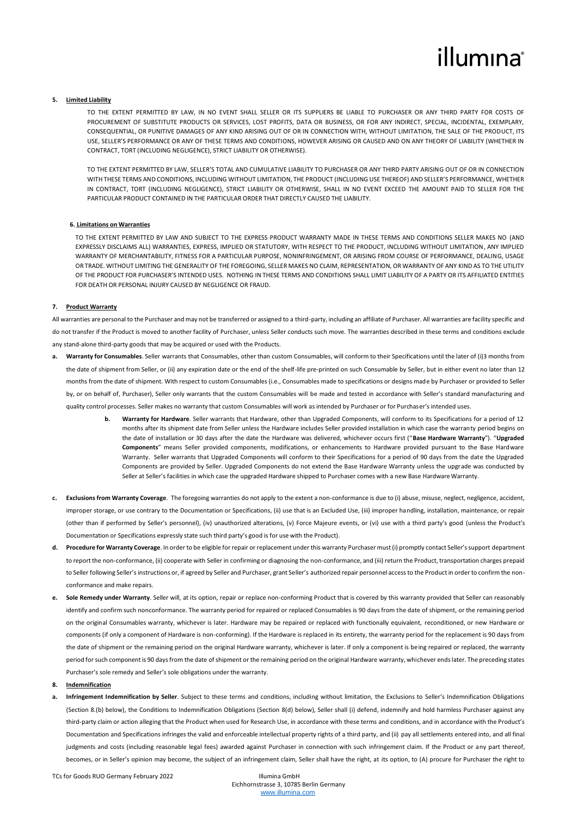# illumina®

# **5. Limited Liability**

TO THE EXTENT PERMITTED BY LAW, IN NO EVENT SHALL SELLER OR ITS SUPPLIERS BE LIABLE TO PURCHASER OR ANY THIRD PARTY FOR COSTS OF PROCUREMENT OF SUBSTITUTE PRODUCTS OR SERVICES, LOST PROFITS, DATA OR BUSINESS, OR FOR ANY INDIRECT, SPECIAL, INCIDENTAL, EXEMPLARY, CONSEQUENTIAL, OR PUNITIVE DAMAGES OF ANY KIND ARISING OUT OF OR IN CONNECTION WITH, WITHOUT LIMITATION, THE SALE OF THE PRODUCT, ITS USE, SELLER'S PERFORMANCE OR ANY OF THESE TERMS AND CONDITIONS, HOWEVER ARISING OR CAUSED AND ON ANY THEORY OF LIABILITY (WHETHER IN CONTRACT, TORT (INCLUDING NEGLIGENCE), STRICT LIABILITY OR OTHERWISE).

TO THE EXTENT PERMITTED BY LAW, SELLER'S TOTAL AND CUMULATIVE LIABILITY TO PURCHASER OR ANY THIRD PARTY ARISING OUT OF OR IN CONNECTION WITH THESE TERMS AND CONDITIONS, INCLUDING WITHOUT LIMITATION, THE PRODUCT (INCLUDING USE THEREOF) AND SELLER'S PERFORMANCE, WHETHER IN CONTRACT, TORT (INCLUDING NEGLIGENCE), STRICT LIABILITY OR OTHERWISE, SHALL IN NO EVENT EXCEED THE AMOUNT PAID TO SELLER FOR THE PARTICULAR PRODUCT CONTAINED IN THE PARTICULAR ORDER THAT DIRECTLY CAUSED THE LIABILITY.

#### **6. Limitations on Warranties**

TO THE EXTENT PERMITTED BY LAW AND SUBJECT TO THE EXPRESS PRODUCT WARRANTY MADE IN THESE TERMS AND CONDITIONS SELLER MAKES NO (AND EXPRESSLY DISCLAIMS ALL) WARRANTIES, EXPRESS, IMPLIED OR STATUTORY, WITH RESPECT TO THE PRODUCT, INCLUDING WITHOUT LIMITATION, ANY IMPLIED WARRANTY OF MERCHANTABILITY, FITNESS FOR A PARTICULAR PURPOSE, NONINFRINGEMENT, OR ARISING FROM COURSE OF PERFORMANCE, DEALING, USAGE OR TRADE. WITHOUT LIMITING THE GENERALITY OF THE FOREGOING, SELLER MAKES NO CLAIM, REPRESENTATION, OR WARRANTY OF ANY KIND AS TO THE UTILITY OF THE PRODUCT FOR PURCHASER'S INTENDED USES. NOTHING IN THESE TERMS AND CONDITIONS SHALL LIMIT LIABILITY OF A PARTY OR ITS AFFILIATED ENTITIES FOR DEATH OR PERSONAL INJURY CAUSED BY NEGLIGENCE OR FRAUD.

# **7. Product Warranty**

All warranties are personal to the Purchaser and may not be transferred or assigned to a third-party, including an affiliate of Purchaser. All warranties are facility specific and do not transfer if the Product is moved to another facility of Purchaser, unless Seller conducts such move. The warranties described in these terms and conditions exclude any stand-alone third-party goods that may be acquired or used with the Products.

- Warranty for Consumables. Seller warrants that Consumables, other than custom Consumables, will conform to their Specifications until the later of (i)3 months from the date of shipment from Seller, or (ii) any expiration date or the end of the shelf-life pre-printed on such Consumable by Seller, but in either event no later than 12 months from the date of shipment. With respect to custom Consumables (i.e., Consumables made to specifications or designs made by Purchaser or provided to Seller by, or on behalf of, Purchaser), Seller only warrants that the custom Consumables will be made and tested in accordance with Seller's standard manufacturing and quality control processes. Seller makes no warranty that custom Consumables will work as intended by Purchaser or for Purchaser's intended uses.
	- **b. Warranty for Hardware**. Seller warrants that Hardware, other than Upgraded Components, will conform to its Specifications for a period of 12 months after its shipment date from Seller unless the Hardware includes Seller provided installation in which case the warranty period begins on the date of installation or 30 days after the date the Hardware was delivered, whichever occurs first ("**Base Hardware Warranty**"). "**Upgraded Components**" means Seller provided components, modifications, or enhancements to Hardware provided pursuant to the Base Hardware Warranty. Seller warrants that Upgraded Components will conform to their Specifications for a period of 90 days from the date the Upgraded Components are provided by Seller. Upgraded Components do not extend the Base Hardware Warranty unless the upgrade was conducted by Seller at Seller's facilities in which case the upgraded Hardware shipped to Purchaser comes with a new Base Hardware Warranty.
- **c. Exclusions from Warranty Coverage**. The foregoing warranties do not apply to the extent a non-conformance is due to (i) abuse, misuse, neglect, negligence, accident, improper storage, or use contrary to the Documentation or Specifications, (ii) use that is an Excluded Use, (iii) improper handling, installation, maintenance, or repair (other than if performed by Seller's personnel), (iv) unauthorized alterations, (v) Force Majeure events, or (vi) use with a third party's good (unless the Product's Documentation or Specifications expressly state such third party's good is for use with the Product).
- **d. Procedure for Warranty Coverage**. In order to be eligible for repair or replacement under this warranty Purchaser must (i) promptly contact Seller's support department to report the non-conformance, (ii) cooperate with Seller in confirming or diagnosing the non-conformance, and (iii) return the Product, transportation charges prepaid to Seller following Seller's instructions or, if agreed by Seller and Purchaser, grant Seller's authorized repair personnel access to the Product in order to confirm the nonconformance and make repairs.
- **e. Sole Remedy under Warranty**. Seller will, at its option, repair or replace non-conforming Product that is covered by this warranty provided that Seller can reasonably identify and confirm such nonconformance. The warranty period for repaired or replaced Consumables is 90 days from the date of shipment, or the remaining period on the original Consumables warranty, whichever is later. Hardware may be repaired or replaced with functionally equivalent, reconditioned, or new Hardware or components (if only a component of Hardware is non-conforming). If the Hardware is replaced in its entirety, the warranty period for the replacement is 90 days from the date of shipment or the remaining period on the original Hardware warranty, whichever is later. If only a component is being repaired or replaced, the warranty period for such component is 90 days from the date of shipment or the remaining period on the original Hardware warranty, whichever ends later. The preceding states Purchaser's sole remedy and Seller's sole obligations under the warranty.

# **8. Indemnification**

**a. Infringement Indemnification by Seller**. Subject to these terms and conditions, including without limitation, the Exclusions to Seller's Indemnification Obligations (Section 8.(b) below), the Conditions to Indemnification Obligations (Section 8(d) below), Seller shall (i) defend, indemnify and hold harmless Purchaser against any third-party claim or action alleging that the Product when used for Research Use, in accordance with these terms and conditions, and in accordance with the Product's Documentation and Specifications infringes the valid and enforceable intellectual property rights of a third party, and (ii) pay all settlements entered into, and all final judgments and costs (including reasonable legal fees) awarded against Purchaser in connection with such infringement claim. If the Product or any part thereof, becomes, or in Seller's opinion may become, the subject of an infringement claim, Seller shall have the right, at its option, to (A) procure for Purchaser the right to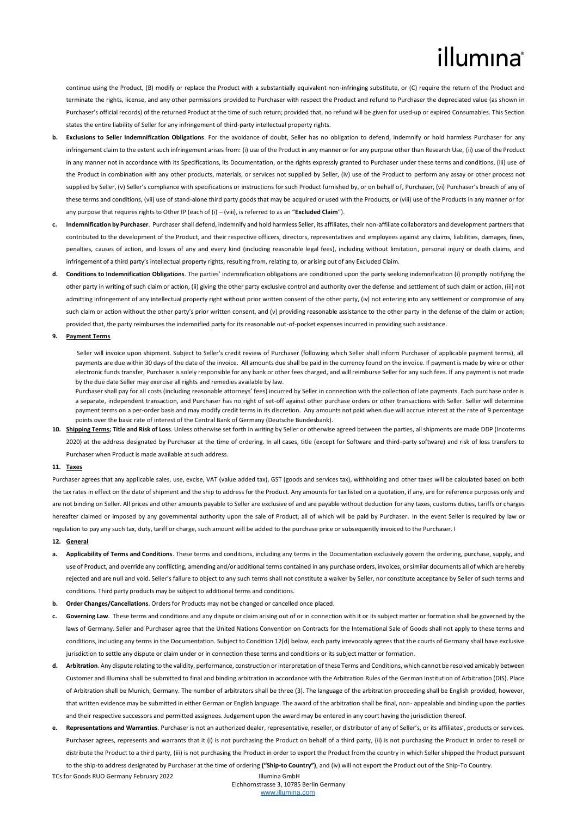# illumına

continue using the Product, (B) modify or replace the Product with a substantially equivalent non-infringing substitute, or (C) require the return of the Product and terminate the rights, license, and any other permissions provided to Purchaser with respect the Product and refund to Purchaser the depreciated value (as shown in Purchaser's official records) of the returned Product at the time of such return; provided that, no refund will be given for used-up or expired Consumables. This Section states the entire liability of Seller for any infringement of third-party intellectual property rights.

- **b. Exclusions to Seller Indemnification Obligations**. For the avoidance of doubt, Seller has no obligation to defend, indemnify or hold harmless Purchaser for any infringement claim to the extent such infringement arises from: (i) use of the Product in any manner or for any purpose other than Research Use, (ii) use of the Product in any manner not in accordance with its Specifications, its Documentation, or the rights expressly granted to Purchaser under these terms and conditions, (iii) use of the Product in combination with any other products, materials, or services not supplied by Seller, (iv) use of the Product to perform any assay or other process not supplied by Seller, (v) Seller's compliance with specifications or instructions for such Product furnished by, or on behalf of, Purchaser, (vi) Purchaser's breach of any of these terms and conditions, (vii) use of stand-alone third party goods that may be acquired or used with the Products, or (viii) use of the Products in any manner or for any purpose that requires rights to Other IP (each of (i) – (viii), is referred to as an "**Excluded Claim**").
- **c. Indemnification by Purchaser**. Purchaser shall defend, indemnify and hold harmless Seller, its affiliates, their non-affiliate collaborators and development partners that contributed to the development of the Product, and their respective officers, directors, representatives and employees against any claims, liabilities, damages, fines, penalties, causes of action, and losses of any and every kind (including reasonable legal fees), including without limitation, personal injury or death claims, and infringement of a third party's intellectual property rights, resulting from, relating to, or arising out of any Excluded Claim.
- **d. Conditions to Indemnification Obligations**. The parties' indemnification obligations are conditioned upon the party seeking indemnification (i) promptly notifying the other party in writing of such claim or action, (ii) giving the other party exclusive control and authority over the defense and settlement of such claim or action, (iii) not admitting infringement of any intellectual property right without prior written consent of the other party, (iv) not entering into any settlement or compromise of any such claim or action without the other party's prior written consent, and (v) providing reasonable assistance to the other party in the defense of the claim or action; provided that, the party reimburses the indemnified party for its reasonable out-of-pocket expenses incurred in providing such assistance.

### **9. Payment Terms**

Seller will invoice upon shipment. Subject to Seller's credit review of Purchaser (following which Seller shall inform Purchaser of applicable payment terms), all payments are due within 30 days of the date of the invoice. All amounts due shall be paid in the currency found on the invoice. If payment is made by wire or other electronic funds transfer, Purchaser is solely responsible for any bank or other fees charged, and will reimburse Seller for any such fees. If any payment is not made by the due date Seller may exercise all rights and remedies available by law.

Purchaser shall pay for all costs (including reasonable attorneys' fees) incurred by Seller in connection with the collection of late payments. Each purchase order is a separate, independent transaction, and Purchaser has no right of set-off against other purchase orders or other transactions with Seller. Seller will determine payment terms on a per-order basis and may modify credit terms in its discretion. Any amounts not paid when due will accrue interest at the rate of 9 percentage points over the basic rate of interest of the Central Bank of Germany (Deutsche Bundesbank).

**10. Shipping Terms; Title and Risk of Loss**. Unless otherwise set forth in writing by Seller or otherwise agreed between the parties, all shipments are made DDP (Incoterms 2020) at the address designated by Purchaser at the time of ordering. In all cases, title (except for Software and third-party software) and risk of loss transfers to Purchaser when Product is made available at such address.

#### **11. Taxes**

Purchaser agrees that any applicable sales, use, excise, VAT (value added tax), GST (goods and services tax), withholding and other taxes will be calculated based on both the tax rates in effect on the date of shipment and the ship to address for the Product. Any amounts for tax listed on a quotation, if any, are for reference purposes only and are not binding on Seller. All prices and other amounts payable to Seller are exclusive of and are payable without deduction for any taxes, customs duties, tariffs or charges hereafter claimed or imposed by any governmental authority upon the sale of Product, all of which will be paid by Purchaser. In the event Seller is required by law or regulation to pay any such tax, duty, tariff or charge, such amount will be added to the purchase price or subsequently invoiced to the Purchaser. I

#### **12. General**

- **a. Applicability of Terms and Conditions**. These terms and conditions, including any terms in the Documentation exclusively govern the ordering, purchase, supply, and use of Product, and override any conflicting, amending and/or additional terms contained in any purchase orders, invoices, or similar documents all of which are hereby rejected and are null and void. Seller's failure to object to any such terms shall not constitute a waiver by Seller, nor constitute acceptance by Seller of such terms and conditions. Third party products may be subject to additional terms and conditions.
- **b. Order Changes/Cancellations**. Orders for Products may not be changed or cancelled once placed.
- **c. Governing Law**. These terms and conditions and any dispute or claim arising out of or in connection with it or its subject matter or formation shall be governed by the laws of Germany. Seller and Purchaser agree that the United Nations Convention on Contracts for the International Sale of Goods shall not apply to these terms and conditions, including any terms in the Documentation. Subject to Condition 12(d) below, each party irrevocably agrees that the courts of Germany shall have exclusive jurisdiction to settle any dispute or claim under or in connection these terms and conditions or its subject matter or formation.
- **d. Arbitration**. Any dispute relating to the validity, performance, construction or interpretation of these Terms and Conditions, which cannot be resolved amicably between Customer and Illumina shall be submitted to final and binding arbitration in accordance with the Arbitration Rules of the German Institution of Arbitration (DIS). Place of Arbitration shall be Munich, Germany. The number of arbitrators shall be three (3). The language of the arbitration proceeding shall be English provided, however, that written evidence may be submitted in either German or English language. The award of the arbitration shall be final, non- appealable and binding upon the parties and their respective successors and permitted assignees. Judgement upon the award may be entered in any court having the jurisdiction thereof.
- **e. Representations and Warranties**. Purchaser is not an authorized dealer, representative, reseller, or distributor of any of Seller's, or its affiliates', products or services. Purchaser agrees, represents and warrants that it (i) is not purchasing the Product on behalf of a third party, (ii) is not purchasing the Product in order to resell or distribute the Product to a third party, (iii) is not purchasing the Product in order to export the Product from the country in which Seller shipped the Product pursuant to the ship-to address designated by Purchaser at the time of ordering **("Ship-to Country")**, and (iv) will not export the Product out of the Ship-To Country.

TCs for Goods RUO Germany February 2022 Illumina GmbH

Eichhornstrasse 3, 10785 Berlin Germany [www.illumina.com](http://www.illumina.com/)